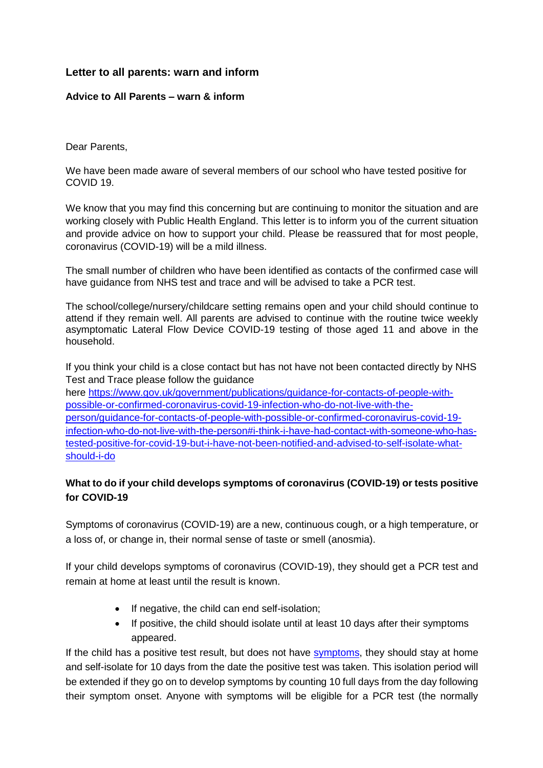### **Letter to all parents: warn and inform**

#### **Advice to All Parents – warn & inform**

Dear Parents,

We have been made aware of several members of our school who have tested positive for COVID 19.

We know that you may find this concerning but are continuing to monitor the situation and are working closely with Public Health England. This letter is to inform you of the current situation and provide advice on how to support your child. Please be reassured that for most people, coronavirus (COVID-19) will be a mild illness.

The small number of children who have been identified as contacts of the confirmed case will have guidance from NHS test and trace and will be advised to take a PCR test.

The school/college/nursery/childcare setting remains open and your child should continue to attend if they remain well. All parents are advised to continue with the routine twice weekly asymptomatic Lateral Flow Device COVID-19 testing of those aged 11 and above in the household.

If you think your child is a close contact but has not have not been contacted directly by NHS Test and Trace please follow the guidance

here [https://www.gov.uk/government/publications/guidance-for-contacts-of-people-with](https://www.gov.uk/government/publications/guidance-for-contacts-of-people-with-possible-or-confirmed-coronavirus-covid-19-infection-who-do-not-live-with-the-person/guidance-for-contacts-of-people-with-possible-or-confirmed-coronavirus-covid-19-infection-who-do-not-live-with-the-person#i-think-i-have-had-contact-with-someone-who-has-tested-positive-for-covid-19-but-i-have-not-been-notified-and-advised-to-self-isolate-what-should-i-do)[possible-or-confirmed-coronavirus-covid-19-infection-who-do-not-live-with-the](https://www.gov.uk/government/publications/guidance-for-contacts-of-people-with-possible-or-confirmed-coronavirus-covid-19-infection-who-do-not-live-with-the-person/guidance-for-contacts-of-people-with-possible-or-confirmed-coronavirus-covid-19-infection-who-do-not-live-with-the-person#i-think-i-have-had-contact-with-someone-who-has-tested-positive-for-covid-19-but-i-have-not-been-notified-and-advised-to-self-isolate-what-should-i-do)[person/guidance-for-contacts-of-people-with-possible-or-confirmed-coronavirus-covid-19](https://www.gov.uk/government/publications/guidance-for-contacts-of-people-with-possible-or-confirmed-coronavirus-covid-19-infection-who-do-not-live-with-the-person/guidance-for-contacts-of-people-with-possible-or-confirmed-coronavirus-covid-19-infection-who-do-not-live-with-the-person#i-think-i-have-had-contact-with-someone-who-has-tested-positive-for-covid-19-but-i-have-not-been-notified-and-advised-to-self-isolate-what-should-i-do) [infection-who-do-not-live-with-the-person#i-think-i-have-had-contact-with-someone-who-has](https://www.gov.uk/government/publications/guidance-for-contacts-of-people-with-possible-or-confirmed-coronavirus-covid-19-infection-who-do-not-live-with-the-person/guidance-for-contacts-of-people-with-possible-or-confirmed-coronavirus-covid-19-infection-who-do-not-live-with-the-person#i-think-i-have-had-contact-with-someone-who-has-tested-positive-for-covid-19-but-i-have-not-been-notified-and-advised-to-self-isolate-what-should-i-do)[tested-positive-for-covid-19-but-i-have-not-been-notified-and-advised-to-self-isolate-what](https://www.gov.uk/government/publications/guidance-for-contacts-of-people-with-possible-or-confirmed-coronavirus-covid-19-infection-who-do-not-live-with-the-person/guidance-for-contacts-of-people-with-possible-or-confirmed-coronavirus-covid-19-infection-who-do-not-live-with-the-person#i-think-i-have-had-contact-with-someone-who-has-tested-positive-for-covid-19-but-i-have-not-been-notified-and-advised-to-self-isolate-what-should-i-do)[should-i-do](https://www.gov.uk/government/publications/guidance-for-contacts-of-people-with-possible-or-confirmed-coronavirus-covid-19-infection-who-do-not-live-with-the-person/guidance-for-contacts-of-people-with-possible-or-confirmed-coronavirus-covid-19-infection-who-do-not-live-with-the-person#i-think-i-have-had-contact-with-someone-who-has-tested-positive-for-covid-19-but-i-have-not-been-notified-and-advised-to-self-isolate-what-should-i-do)

# **What to do if your child develops symptoms of coronavirus (COVID-19) or tests positive for COVID-19**

Symptoms of coronavirus (COVID-19) are a new, continuous cough, or a high temperature, or a loss of, or change in, their normal sense of taste or smell (anosmia).

If your child develops symptoms of coronavirus (COVID-19), they should get a PCR test and remain at home at least until the result is known.

- If negative, the child can end self-isolation:
- If positive, the child should isolate until at least 10 days after their symptoms appeared.

If the child has a positive test result, but does not have [symptoms,](https://www.gov.uk/government/publications/covid-19-stay-at-home-guidance/stay-at-home-guidance-for-households-with-possible-coronavirus-covid-19-infection#symptoms) they should stay at home and self-isolate for 10 days from the date the positive test was taken. This isolation period will be extended if they go on to develop symptoms by counting 10 full days from the day following their symptom onset. Anyone with symptoms will be eligible for a PCR test (the normally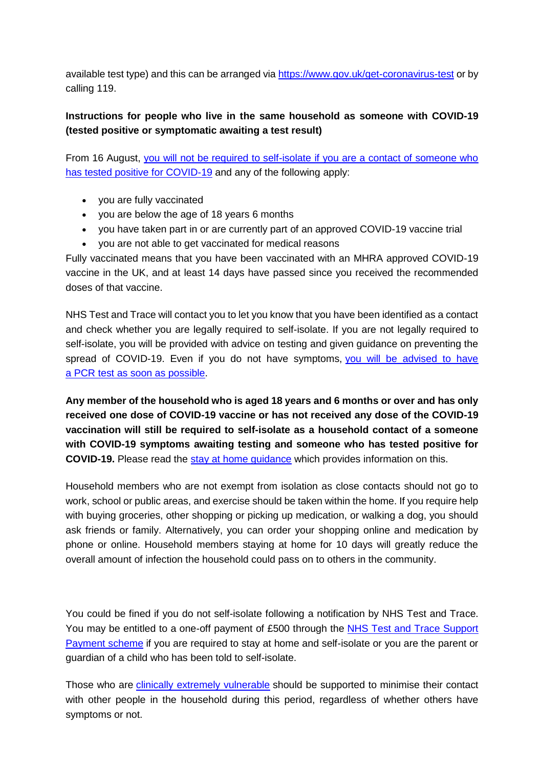available test type) and this can be arranged via<https://www.gov.uk/get-coronavirus-test> or by calling 119.

# **Instructions for people who live in the same household as someone with COVID-19 (tested positive or symptomatic awaiting a test result)**

From 16 August, [you will not be required to self-isolate if you are a contact of someone who](https://www.gov.uk/government/publications/covid-19-stay-at-home-guidance/stay-at-home-guidance-for-households-with-possible-coronavirus-covid-19-infection#exempt)  [has tested positive for COVID-19](https://www.gov.uk/government/publications/covid-19-stay-at-home-guidance/stay-at-home-guidance-for-households-with-possible-coronavirus-covid-19-infection#exempt) and any of the following apply:

- vou are fully vaccinated
- you are below the age of 18 years 6 months
- you have taken part in or are currently part of an approved COVID-19 vaccine trial
- you are not able to get vaccinated for medical reasons

Fully vaccinated means that you have been vaccinated with an MHRA approved COVID-19 vaccine in the UK, and at least 14 days have passed since you received the recommended doses of that vaccine.

NHS Test and Trace will contact you to let you know that you have been identified as a contact and check whether you are legally required to self-isolate. If you are not legally required to self-isolate, you will be provided with advice on testing and given guidance on preventing the spread of COVID-19. Even if you do not have symptoms, you will be advised to have a PCR [test as soon as possible.](https://www.gov.uk/government/publications/covid-19-stay-at-home-guidance/stay-at-home-guidance-for-households-with-possible-coronavirus-covid-19-infection#PCR)

**Any member of the household who is aged 18 years and 6 months or over and has only received one dose of COVID-19 vaccine or has not received any dose of the COVID-19 vaccination will still be required to self-isolate as a household contact of a someone with COVID-19 symptoms awaiting testing and someone who has tested positive for COVID-19.** Please read the [stay at home guidance](https://www.gov.uk/government/publications/covid-19-stay-at-home-guidance) which provides information on this.

Household members who are not exempt from isolation as close contacts should not go to work, school or public areas, and exercise should be taken within the home. If you require help with buying groceries, other shopping or picking up medication, or walking a dog, you should ask friends or family. Alternatively, you can order your shopping online and medication by phone or online. Household members staying at home for 10 days will greatly reduce the overall amount of infection the household could pass on to others in the community.

You could be fined if you do not self-isolate following a notification by NHS Test and Trace. You may be entitled to a one-off payment of £500 through the NHS Test and Trace Support [Payment scheme](https://www.gov.uk/government/publications/test-and-trace-support-payment-scheme-claiming-financial-support/claiming-financial-support-under-the-test-and-trace-support-payment-scheme) if you are required to stay at home and self-isolate or you are the parent or guardian of a child who has been told to self-isolate.

Those who are [clinically extremely vulnerable](https://www.gov.uk/government/publications/guidance-on-shielding-and-protecting-extremely-vulnerable-persons-from-covid-19/guidance-on-shielding-and-protecting-extremely-vulnerable-persons-from-covid-19) should be supported to minimise their contact with other people in the household during this period, regardless of whether others have symptoms or not.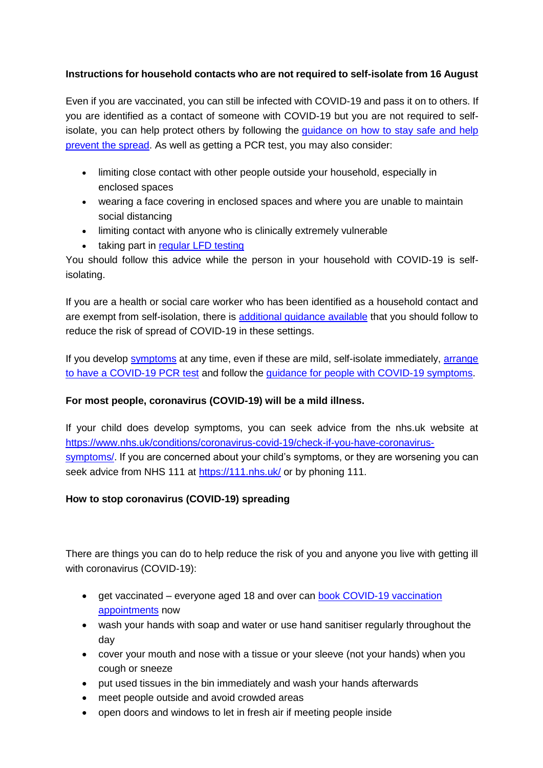### **Instructions for household contacts who are not required to self-isolate from 16 August**

Even if you are vaccinated, you can still be infected with COVID-19 and pass it on to others. If you are identified as a contact of someone with COVID-19 but you are not required to selfisolate, you can help protect others by following the [guidance on how to stay safe and help](https://www.gov.uk/guidance/covid-19-coronavirus-restrictions-what-you-can-and-cannot-do#keeping-yourself-and-others-safe)  [prevent the spread.](https://www.gov.uk/guidance/covid-19-coronavirus-restrictions-what-you-can-and-cannot-do#keeping-yourself-and-others-safe) As well as getting a PCR test, you may also consider:

- limiting close contact with other people outside your household, especially in enclosed spaces
- wearing a face covering in enclosed spaces and where you are unable to maintain social distancing
- limiting contact with anyone who is clinically extremely vulnerable
- taking part in [regular](https://www.gov.uk/order-coronavirus-rapid-lateral-flow-tests) LFD testing

You should follow this advice while the person in your household with COVID-19 is selfisolating.

If you are a health or social care worker who has been identified as a household contact and are exempt from self-isolation, there is [additional guidance available](https://www.gov.uk/government/publications/covid-19-management-of-exposed-healthcare-workers-and-patients-in-hospital-settings/covid-19-management-of-exposed-healthcare-workers-and-patients-in-hospital-settings) that you should follow to reduce the risk of spread of COVID-19 in these settings.

If you develop [symptoms](https://www.gov.uk/government/publications/covid-19-stay-at-home-guidance/stay-at-home-guidance-for-households-with-possible-coronavirus-covid-19-infection#symptoms) at any time, even if these are mild, self-isolate immediately, arrange [to have a COVID-19](https://www.gov.uk/get-coronavirus-test) PCR test and follow the [guidance for people with COVID-19 symptoms.](https://www.gov.uk/government/publications/covid-19-stay-at-home-guidance/stay-at-home-guidance-for-households-with-possible-coronavirus-covid-19-infection#SymptomsPositiveTest)

### **For most people, coronavirus (COVID-19) will be a mild illness.**

If your child does develop symptoms, you can seek advice from the nhs.uk website at [https://www.nhs.uk/conditions/coronavirus-covid-19/check-if-you-have-coronavirus](https://www.nhs.uk/conditions/coronavirus-covid-19/check-if-you-have-coronavirus-symptoms/)[symptoms/.](https://www.nhs.uk/conditions/coronavirus-covid-19/check-if-you-have-coronavirus-symptoms/) If you are concerned about your child's symptoms, or they are worsening you can seek advice from NHS 111 at<https://111.nhs.uk/> or by phoning 111.

# **How to stop coronavirus (COVID-19) spreading**

There are things you can do to help reduce the risk of you and anyone you live with getting ill with coronavirus (COVID-19):

- get vaccinated everyone aged 18 and over can book COVID-19 vaccination [appointments](https://www.nhs.uk/conditions/coronavirus-covid-19/coronavirus-vaccination/book-coronavirus-vaccination/) now
- wash your hands with soap and water or use hand sanitiser regularly throughout the day
- cover your mouth and nose with a tissue or your sleeve (not your hands) when you cough or sneeze
- put used tissues in the bin immediately and wash your hands afterwards
- meet people outside and avoid crowded areas
- open doors and windows to let in fresh air if meeting people inside